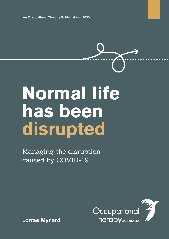An Occupational Therapy Guide I March 2020

## **Normal life has been disrupted**

Managing the disruption caused by COVID-19



Lorrae Mynard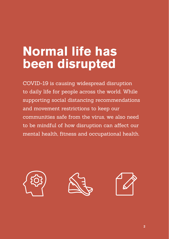### **Normal life has been disrupted**

COVID-19 is causing widespread disruption to daily life for people across the world. While supporting social distancing recommendations and movement restrictions to keep our communities safe from the virus, we also need to be mindful of how disruption can affect our mental health, fitness and occupational health.

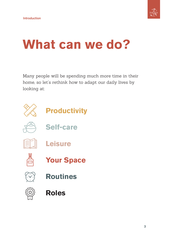

### **What can we do?**

Many people will be spending much more time in their home, so let's rethink how to adapt our daily lives by looking at:



**[Productivity](#page-3-0)**



**[Self-care](#page-9-0)**



**[Leisure](#page-14-0)** 



**[Your Space](#page-17-0)**



**[Routines](#page-19-0)**



**[Roles](#page-24-0)**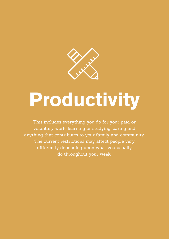<span id="page-3-0"></span>

This includes everything you do for your paid or voluntary work, learning or studying, caring and anything that contributes to your family and community. The current restrictions may affect people very differently depending upon what you usually do throughout your week.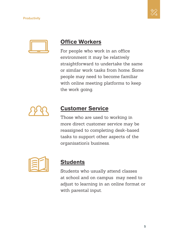



#### **Office Workers**

For people who work in an office environment it may be relatively straightforward to undertake the same or similar work tasks from home. Some people may need to become familiar with online meeting platforms to keep the work going.



#### **Customer Service**

Those who are used to working in more direct customer service may be reassigned to completing desk-based tasks to support other aspects of the organisation's business.



#### **Students**

Students who usually attend classes at school and on campus may need to adjust to learning in an online format or with parental input.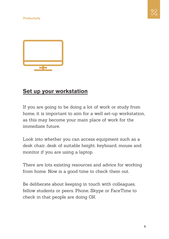



#### **Set up your workstation**

If you are going to be doing a lot of work or study from home, it is important to aim for a well set-up workstation, as this may become your main place of work for the immediate future.

Look into whether you can access equipment such as a desk chair, desk of suitable height, keyboard, mouse and monitor if you are using a laptop.

There are lots existing resources and advice for working from home. Now is a good time to check them out.

Be deliberate about keeping in touch with colleagues, fellow students or peers. Phone, Skype or FaceTime to check in that people are doing OK.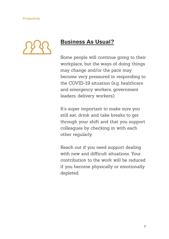

#### **Business As Usual?**

Some people will continue going to their workplace, but the ways of doing things may change and/or the pace may become very pressured in responding to the COVID-19 situation (e.g. healthcare and emergency workers, government leaders, delivery workers).

It's super important to make sure you still eat, drink and take breaks to get through your shift and that you support colleagues by checking in with each other regularly.

Reach out if you need support dealing with new and difficult situations. Your contribution to the work will be reduced if you become physically or emotionally depleted.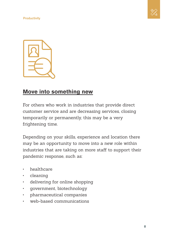



#### **Move into something new**

For others who work in industries that provide direct customer service and are decreasing services, closing temporarily or permanently, this may be a very frightening time.

Depending on your skills, experience and location there may be an opportunity to move into a new role within industries that are taking on more staff to support their pandemic response, such as:

- healthcare
- cleaning
- delivering for online shopping
- government, biotechnology
- pharmaceutical companies
- web-based communications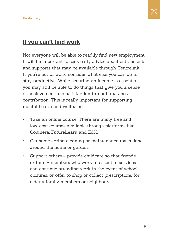

#### **If you can't find work**

Not everyone will be able to readily find new employment. It will be important to seek early advice about entitlements and supports that may be available through Centrelink. If you're out of work, consider what else you can do to stay productive. While securing an income is essential, you may still be able to do things that give you a sense of achievement and satisfaction through making a contribution. This is really important for supporting mental health and wellbeing.

- Take an online course. There are many free and low-cost courses available through platforms like Coursera, FutureLearn and EdX,
- Get some spring cleaning or maintenance tasks done around the home or garden,
- Support others provide childcare so that friends or family members who work in essential services can continue attending work in the event of school closures, or offer to shop or collect prescriptions for elderly family members or neighbours,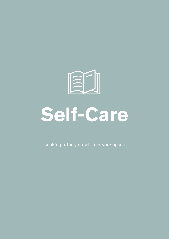<span id="page-9-0"></span>

## **Self-Care**

Looking after yourself and your space.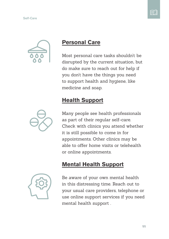



#### **Personal Care**

Most personal care tasks shouldn't be disrupted by the current situation, but do make sure to reach out for help if you don't have the things you need to support health and hygiene, like medicine and soap.

### **Health Support**



Many people see health professionals as part of their regular self-care. Check with clinics you attend whether it is still possible to come in for appointments. Other clinics may be able to offer home visits or telehealth or online appointments.

#### **Mental Health Support**



Be aware of your own mental health in this distressing time. Reach out to your usual care providers, telephone or use online support services if you need mental health support .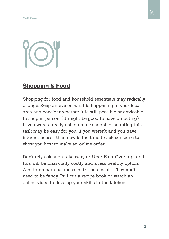

#### **Shopping & Food**

Shopping for food and household essentials may radically change. Keep an eye on what is happening in your local area and consider whether it is still possible or advisable to shop in person. (It might be good to have an outing). If you were already using online shopping, adapting this task may be easy for you, if you weren't and you have internet access then now is the time to ask someone to show you how to make an online order.

Don't rely solely on takeaway or Uber Eats. Over a period this will be financially costly and a less healthy option. Aim to prepare balanced, nutritious meals. They don't need to be fancy. Pull out a recipe book or watch an online video to develop your skills in the kitchen.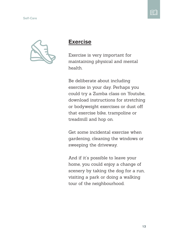



#### **Exercise**

Exercise is very important for maintaining physical and mental health.

Be deliberate about including exercise in your day. Perhaps you could try a Zumba class on Youtube, download instructions for stretching or bodyweight exercises or dust off that exercise bike, trampoline or treadmill and hop on.

Get some incidental exercise when gardening, cleaning the windows or sweeping the driveway.

And if it's possible to leave your home, you could enjoy a change of scenery by taking the dog for a run, visiting a park or doing a walking tour of the neighbourhood.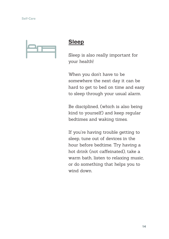#### **Sleep**

Sleep is also really important for your health!

When you don't have to be somewhere the next day it can be hard to get to bed on time and easy to sleep through your usual alarm.

Be disciplined, (which is also being kind to yourself) and keep regular bedtimes and waking times.

If you're having trouble getting to sleep, tune out of devices in the hour before bedtime. Try having a hot drink (not caffeinated), take a warm bath, listen to relaxing music, or do something that helps you to wind down.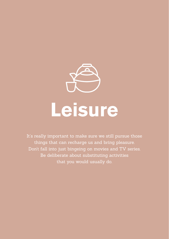<span id="page-14-0"></span>

## **Leisure**

It's really important to make sure we still pursue those things that can recharge us and bring pleasure. Don't fall into just bingeing on movies and TV series. Be deliberate about substituting activities that you would usually do.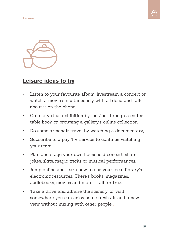Leisure





#### **Leisure ideas to try**

- Listen to your favourite album, livestream a concert or watch a movie simultaneously with a friend and talk about it on the phone,
- Go to a virtual exhibition by looking through a coffee table book or browsing a gallery's online collection,
- Do some armchair travel by watching a documentary,
- Subscribe to a pay TV service to continue watching your team,
- Plan and stage your own household concert: share jokes, skits, magic tricks or musical performances,
- Jump online and learn how to use your local library's electronic resources. There's books, magazines, audiobooks, movies and more — all for free.
- Take a drive and admire the scenery, or visit somewhere you can enjoy some fresh air and a new view without mixing with other people .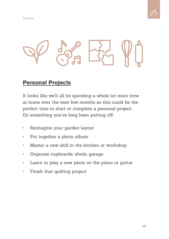



#### **Personal Projects**

It looks like we'll all be spending a whole lot more time at home over the next few months so this could be the perfect time to start or complete a personal project. Do something you've long been putting off:

- Reimagine your garden layout
- Put together a photo album
- Master a new skill in the kitchen or workshop
- Organise cupboards, sheds, garage
- Learn to play a new piece on the piano or guitar
- Finish that quilting project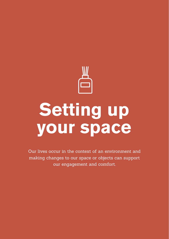<span id="page-17-0"></span>

Our lives occur in the context of an environment and making changes to our space or objects can support our engagement and comfort.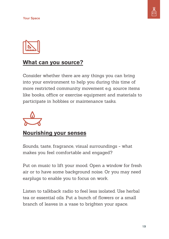



#### **What can you source?**

Consider whether there are any things you can bring into your environment to help you during this time of more restricted community movement e.g. source items like books, office or exercise equipment and materials to participate in hobbies or maintenance tasks.



#### **Nourishing your senses**

Sounds, taste, fragrance, visual surroundings - what makes you feel comfortable and engaged?

Put on music to lift your mood. Open a window for fresh air or to have some background noise. Or you may need earplugs to enable you to focus on work.

Listen to talkback radio to feel less isolated. Use herbal tea or essential oils. Put a bunch of flowers or a small branch of leaves in a vase to brighten your space.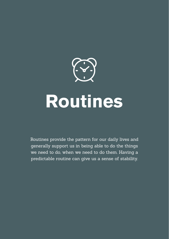<span id="page-19-0"></span>

## **Routines**

Routines provide the pattern for our daily lives and generally support us in being able to do the things we need to do, when we need to do them. Having a predictable routine can give us a sense of stability.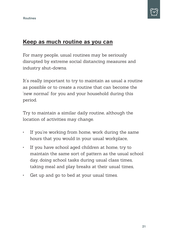

#### **Keep as much routine as you can**

For many people, usual routines may be seriously disrupted by extreme social distancing measures and industry shut-downs.

It's really important to try to maintain as usual a routine as possible or to create a routine that can become the 'new normal' for you and your household during this period.

Try to maintain a similar daily routine, although the location of activities may change.

- If you're working from home, work during the same hours that you would in your usual workplace,
- If you have school aged children at home, try to maintain the same sort of pattern as the usual school day, doing school tasks during usual class times, taking meal and play breaks at their usual times,
- Get up and go to bed at your usual times.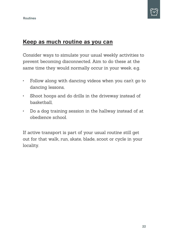

#### **Keep as much routine as you can**

Consider ways to simulate your usual weekly activities to prevent becoming disconnected. Aim to do these at the same time they would normally occur in your week. e.g.

- Follow along with dancing videos when you can't go to dancing lessons,
- Shoot hoops and do drills in the driveway instead of basketball,
- Do a dog training session in the hallway instead of at obedience school.

If active transport is part of your usual routine still get out for that walk, run, skate, blade, scoot or cycle in your locality.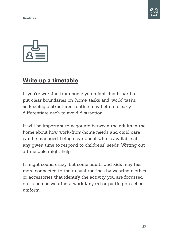Routines





#### **Write up a timetable**

If you're working from home you might find it hard to put clear boundaries on 'home' tasks and 'work' tasks, so keeping a structured routine may help to clearly differentiate each to avoid distraction.

It will be important to negotiate between the adults in the home about how work-from-home needs and child care can be managed, being clear about who is available at any given time to respond to childrens' needs. Writing out a timetable might help.

It might sound crazy, but some adults and kids may feel more connected to their usual routines by wearing clothes or accessories that identify the activity you are focussed on – such as wearing a work lanyard or putting on school uniform.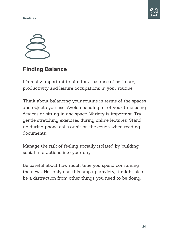Routines





#### **Finding Balance**

It's really important to aim for a balance of self-care, productivity and leisure occupations in your routine.

Think about balancing your routine in terms of the spaces and objects you use. Avoid spending all of your time using devices or sitting in one space. Variety is important. Try gentle stretching exercises during online lectures. Stand up during phone calls or sit on the couch when reading documents.

Manage the risk of feeling socially isolated by building social interactions into your day.

Be careful about how much time you spend consuming the news. Not only can this amp up anxiety, it might also be a distraction from other things you need to be doing.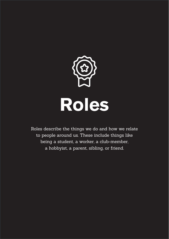<span id="page-24-0"></span>

Roles describe the things we do and how we relate to people around us. These include things like being a student, a worker, a club-member, a hobbyist, a parent, sibling, or friend.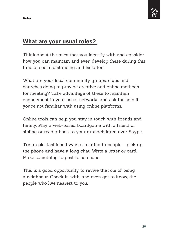

#### **What are your usual roles?**

Think about the roles that you identify with and consider how you can maintain and even develop these during this time of social distancing and isolation.

What are your local community groups, clubs and churches doing to provide creative and online methods for meeting? Take advantage of these to maintain engagement in your usual networks and ask for help if you're not familiar with using online platforms.

Online tools can help you stay in touch with friends and family. Play a web-based boardgame with a friend or sibling or read a book to your grandchildren over Skype.

Try an old-fashioned way of relating to people – pick up the phone and have a long chat. Write a letter or card. Make something to post to someone.

This is a good opportunity to revive the role of being a neighbour. Check in with, and even get to know, the people who live nearest to you.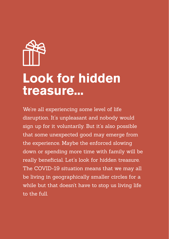

### **Look for hidden treasure...**

We're all experiencing some level of life disruption. It's unpleasant and nobody would sign up for it voluntarily. But it's also possible that some unexpected good may emerge from the experience. Maybe the enforced slowing down or spending more time with family will be really beneficial. Let's look for hidden treasure. The COVID-19 situation means that we may all be living in geographically smaller circles for a while but that doesn't have to stop us living life to the full.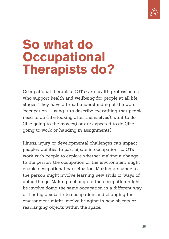

### **So what do Occupational Therapists do?**

Occupational therapists (OTs) are health professionals who support health and wellbeing for people at all life stages. They have a broad understanding of the word 'occupation' – using it to describe everything that people need to do (like looking after themselves), want to do (like going to the movies) or are expected to do (like going to work or handing in assignments).

Illness, injury or developmental challenges can impact peoples' abilities to participate in occupation, so OTs work with people to explore whether making a change to the person, the occupation or the environment might enable occupational participation. Making a change to the person might involve learning new skills or ways of doing things. Making a change to the occupation might be involve doing the same occupation in a different way, or finding a substitute occupation, and changing the environment might involve bringing in new objects or rearranging objects within the space.